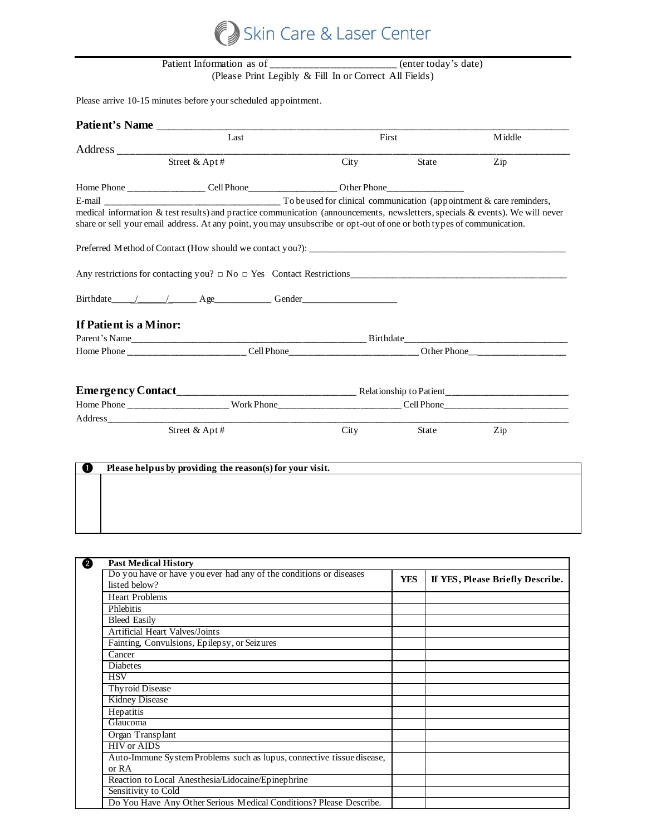

## Patient Information as of \_\_\_\_\_\_\_\_\_\_\_\_\_\_\_\_\_\_\_\_\_\_ (enter today's date) (Please Print Legibly & Fill In or Correct All Fields)

Please arrive 10-15 minutes before your scheduled appointment.

| Patient's Name                                                                                                        |                                                           |       |              |                                                                                                                               |  |
|-----------------------------------------------------------------------------------------------------------------------|-----------------------------------------------------------|-------|--------------|-------------------------------------------------------------------------------------------------------------------------------|--|
| Last                                                                                                                  |                                                           | First |              | Middle                                                                                                                        |  |
|                                                                                                                       |                                                           |       |              |                                                                                                                               |  |
|                                                                                                                       | Street & Apt#                                             | City  | <b>State</b> | Zip                                                                                                                           |  |
|                                                                                                                       |                                                           |       |              |                                                                                                                               |  |
|                                                                                                                       |                                                           |       |              |                                                                                                                               |  |
| share or sell your email address. At any point, you may unsubscribe or opt-out of one or both types of communication. |                                                           |       |              | medical information & test results) and practice communication (announcements, newsletters, specials & events). We will never |  |
|                                                                                                                       |                                                           |       |              |                                                                                                                               |  |
|                                                                                                                       |                                                           |       |              |                                                                                                                               |  |
| Birthdate / / / Age Gender                                                                                            |                                                           |       |              |                                                                                                                               |  |
| If Patient is a Minor:                                                                                                |                                                           |       |              |                                                                                                                               |  |
|                                                                                                                       |                                                           |       |              |                                                                                                                               |  |
|                                                                                                                       |                                                           |       |              |                                                                                                                               |  |
|                                                                                                                       |                                                           |       |              |                                                                                                                               |  |
|                                                                                                                       |                                                           |       |              |                                                                                                                               |  |
|                                                                                                                       |                                                           |       |              |                                                                                                                               |  |
|                                                                                                                       | Street & Apt#                                             | City  | State        | Zip                                                                                                                           |  |
|                                                                                                                       |                                                           |       |              |                                                                                                                               |  |
|                                                                                                                       |                                                           |       |              |                                                                                                                               |  |
| O                                                                                                                     | Please help us by providing the reason(s) for your visit. |       |              |                                                                                                                               |  |
|                                                                                                                       |                                                           |       |              |                                                                                                                               |  |
|                                                                                                                       |                                                           |       |              |                                                                                                                               |  |

| <b>Past Medical History</b>                                           |            |                                  |
|-----------------------------------------------------------------------|------------|----------------------------------|
| Do you have or have you ever had any of the conditions or diseases    | <b>YES</b> | If YES, Please Briefly Describe. |
| listed below?                                                         |            |                                  |
| <b>Heart Problems</b>                                                 |            |                                  |
| Phlebitis                                                             |            |                                  |
| <b>Bleed Easily</b>                                                   |            |                                  |
| <b>Artificial Heart Valves/Joints</b>                                 |            |                                  |
| Fainting, Convulsions, Epilepsy, or Seizures                          |            |                                  |
| Cancer                                                                |            |                                  |
| Diabetes                                                              |            |                                  |
| <b>HSV</b>                                                            |            |                                  |
| <b>Thyroid Disease</b>                                                |            |                                  |
| <b>Kidney Disease</b>                                                 |            |                                  |
| Hepatitis                                                             |            |                                  |
| Glaucoma                                                              |            |                                  |
| Organ Transplant                                                      |            |                                  |
| <b>HIV</b> or AIDS                                                    |            |                                  |
| Auto-Immune System Problems such as lupus, connective tissue disease, |            |                                  |
| or $RA$                                                               |            |                                  |
| Reaction to Local Anesthesia/Lidocaine/Epinephrine                    |            |                                  |
| Sensitivity to Cold                                                   |            |                                  |
| Do You Have Any Other Serious Medical Conditions? Please Describe.    |            |                                  |